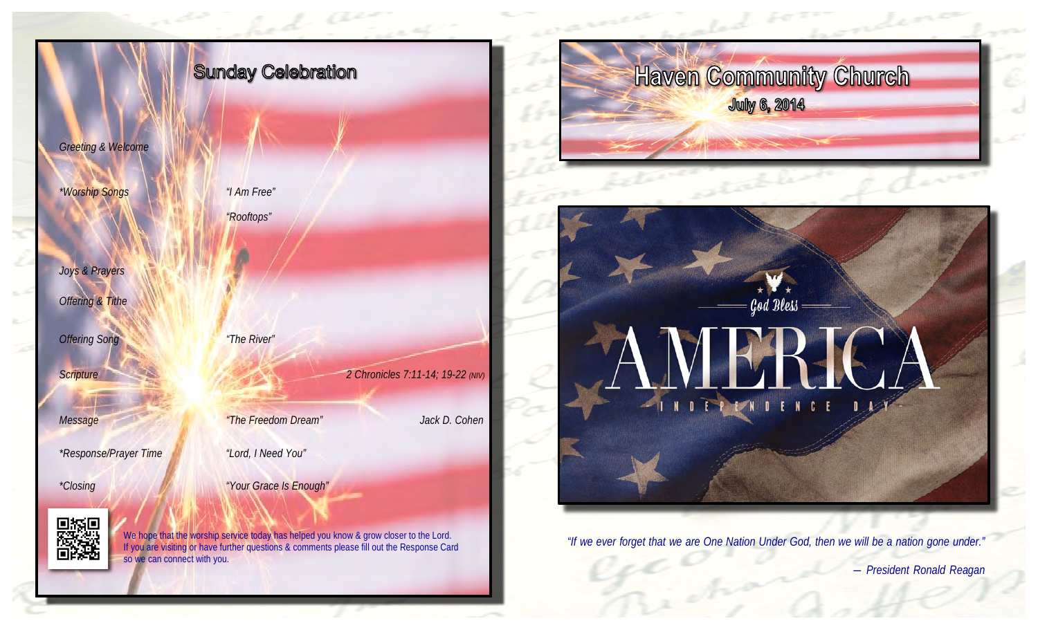

 *― President Ronald Reagan*